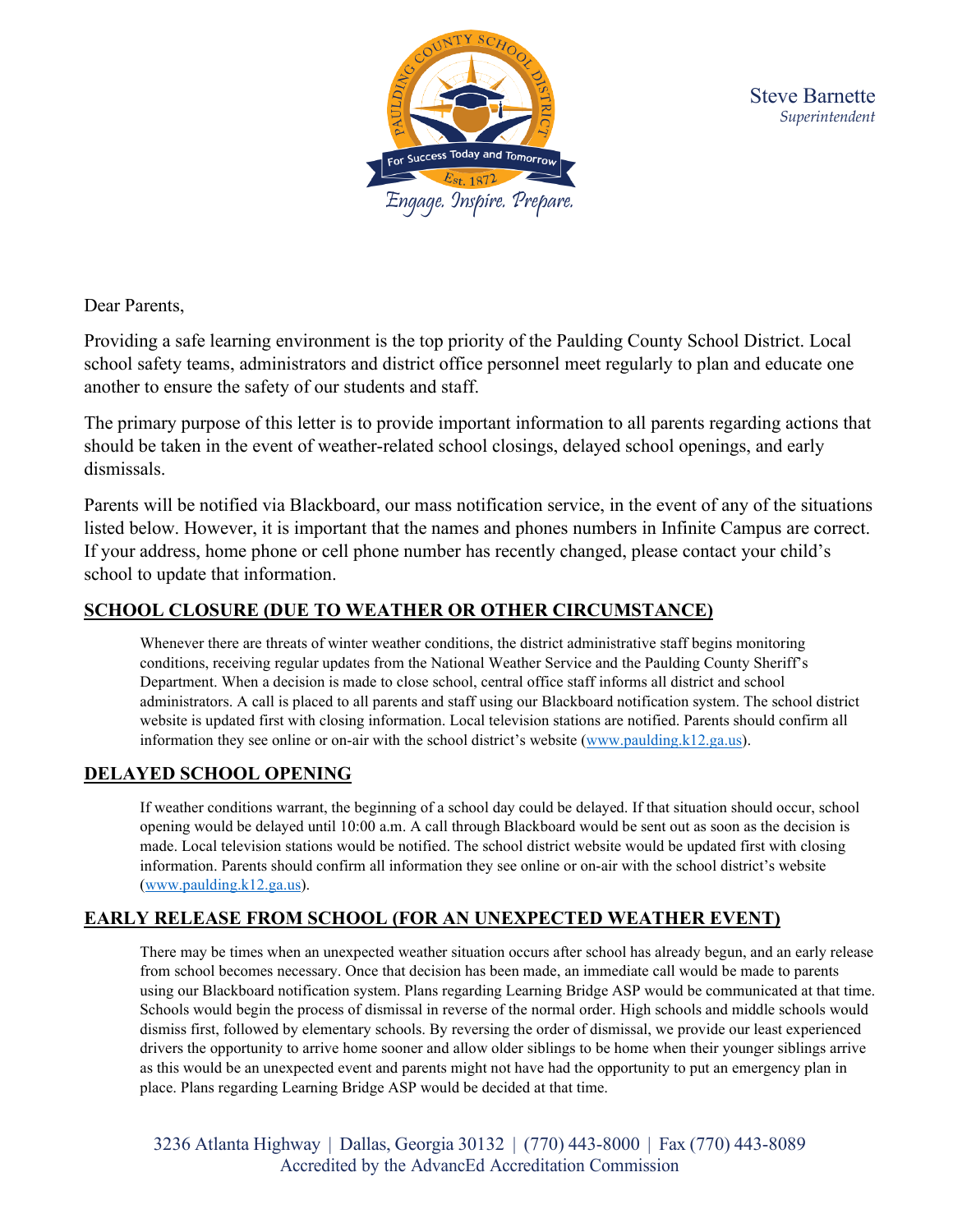

Dear Parents,

Providing a safe learning environment is the top priority of the Paulding County School District. Local school safety teams, administrators and district office personnel meet regularly to plan and educate one another to ensure the safety of our students and staff.

The primary purpose of this letter is to provide important information to all parents regarding actions that should be taken in the event of weather-related school closings, delayed school openings, and early dismissals.

Parents will be notified via Blackboard, our mass notification service, in the event of any of the situations listed below. However, it is important that the names and phones numbers in Infinite Campus are correct. If your address, home phone or cell phone number has recently changed, please contact your child's school to update that information.

## **SCHOOL CLOSURE (DUE TO WEATHER OR OTHER CIRCUMSTANCE)**

Whenever there are threats of winter weather conditions, the district administrative staff begins monitoring conditions, receiving regular updates from the National Weather Service and the Paulding County Sheriff's Department. When a decision is made to close school, central office staff informs all district and school administrators. A call is placed to all parents and staff using our Blackboard notification system. The school district website is updated first with closing information. Local television stations are notified. Parents should confirm all information they see online or on-air with the school district's website [\(www.paulding.k12.ga.us\)](http://www.paulding.k12.ga.us/).

## **DELAYED SCHOOL OPENING**

If weather conditions warrant, the beginning of a school day could be delayed. If that situation should occur, school opening would be delayed until 10:00 a.m. A call through Blackboard would be sent out as soon as the decision is made. Local television stations would be notified. The school district website would be updated first with closing information. Parents should confirm all information they see online or on-air with the school district's website [\(www.paulding.k12.ga.us\)](http://www.paulding.k12.ga.us/).

## **EARLY RELEASE FROM SCHOOL (FOR AN UNEXPECTED WEATHER EVENT)**

There may be times when an unexpected weather situation occurs after school has already begun, and an early release from school becomes necessary. Once that decision has been made, an immediate call would be made to parents using our Blackboard notification system. Plans regarding Learning Bridge ASP would be communicated at that time. Schools would begin the process of dismissal in reverse of the normal order. High schools and middle schools would dismiss first, followed by elementary schools. By reversing the order of dismissal, we provide our least experienced drivers the opportunity to arrive home sooner and allow older siblings to be home when their younger siblings arrive as this would be an unexpected event and parents might not have had the opportunity to put an emergency plan in place. Plans regarding Learning Bridge ASP would be decided at that time.

3236 Atlanta Highway | Dallas, Georgia 30132 | (770) 443-8000 | Fax (770) 443-8089 Accredited by the AdvancEd Accreditation Commission